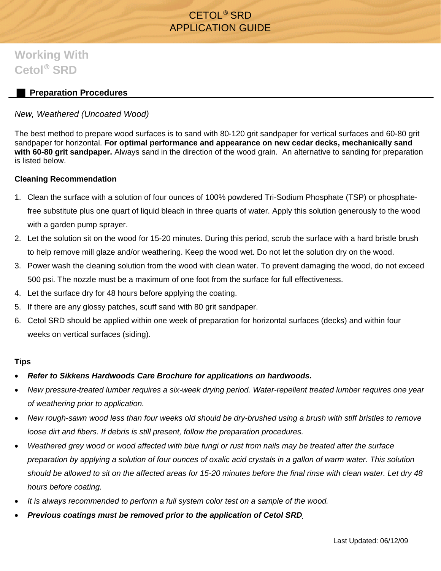## CETOL® SRD APPLICATION GUIDE

# **Working With Cetol**® **SRD**

### **Preparation Procedures**

#### *New, Weathered (Uncoated Wood)*

The best method to prepare wood surfaces is to sand with 80-120 grit sandpaper for vertical surfaces and 60-80 grit sandpaper for horizontal. **For optimal performance and appearance on new cedar decks, mechanically sand with 60-80 grit sandpaper.** Always sand in the direction of the wood grain. An alternative to sanding for preparation is listed below.

#### **Cleaning Recommendation**

- 1. Clean the surface with a solution of four ounces of 100% powdered Tri-Sodium Phosphate (TSP) or phosphatefree substitute plus one quart of liquid bleach in three quarts of water. Apply this solution generously to the wood with a garden pump sprayer.
- 2. Let the solution sit on the wood for 15-20 minutes. During this period, scrub the surface with a hard bristle brush to help remove mill glaze and/or weathering. Keep the wood wet. Do not let the solution dry on the wood.
- 3. Power wash the cleaning solution from the wood with clean water. To prevent damaging the wood, do not exceed 500 psi. The nozzle must be a maximum of one foot from the surface for full effectiveness.
- 4. Let the surface dry for 48 hours before applying the coating.
- 5. If there are any glossy patches, scuff sand with 80 grit sandpaper.
- 6. Cetol SRD should be applied within one week of preparation for horizontal surfaces (decks) and within four weeks on vertical surfaces (siding).

#### **Tips**

- *Refer to Sikkens Hardwoods Care Brochure for applications on hardwoods.*
- *New pressure-treated lumber requires a six-week drying period. Water-repellent treated lumber requires one year of weathering prior to application.*
- *New rough-sawn wood less than four weeks old should be dry-brushed using a brush with stiff bristles to remove loose dirt and fibers. If debris is still present, follow the preparation procedures.*
- *Weathered grey wood or wood affected with blue fungi or rust from nails may be treated after the surface preparation by applying a solution of four ounces of oxalic acid crystals in a gallon of warm water. This solution should be allowed to sit on the affected areas for 15-20 minutes before the final rinse with clean water. Let dry 48 hours before coating.*
- *It is always recommended to perform a full system color test on a sample of the wood.*
- *Previous coatings must be removed prior to the application of Cetol SRD.*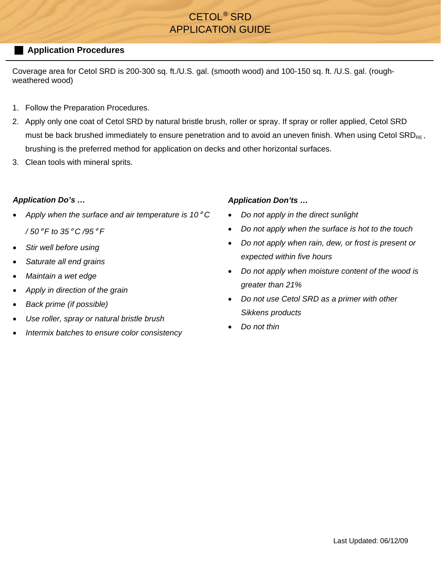## CETOL® SRD APPLICATION GUIDE

#### **Application Procedures**

Coverage area for Cetol SRD is 200-300 sq. ft./U.S. gal. (smooth wood) and 100-150 sq. ft. /U.S. gal. (roughweathered wood)

- 1. Follow the Preparation Procedures.
- 2. Apply only one coat of Cetol SRD by natural bristle brush, roller or spray. If spray or roller applied, Cetol SRD must be back brushed immediately to ensure penetration and to avoid an uneven finish. When using Cetol SRD<sub>RF</sub>, brushing is the preferred method for application on decks and other horizontal surfaces.
- 3. Clean tools with mineral sprits.

#### *Application Do's …*

- *Apply when the surface and air temperature is 10*° *C / 50*° *F to 35*° *C /95*° *F*
- *Stir well before using*
- *Saturate all end grains*
- *Maintain a wet edge*
- *Apply in direction of the grain*
- *Back prime (if possible)*
- *Use roller, spray or natural bristle brush*
- *Intermix batches to ensure color consistency*

#### *Application Don'ts …*

- *Do not apply in the direct sunlight*
- *Do not apply when the surface is hot to the touch*
- *Do not apply when rain, dew, or frost is present or expected within five hours*
- *Do not apply when moisture content of the wood is greater than 21%*
- *Do not use Cetol SRD as a primer with other Sikkens products*
- *Do not thin*